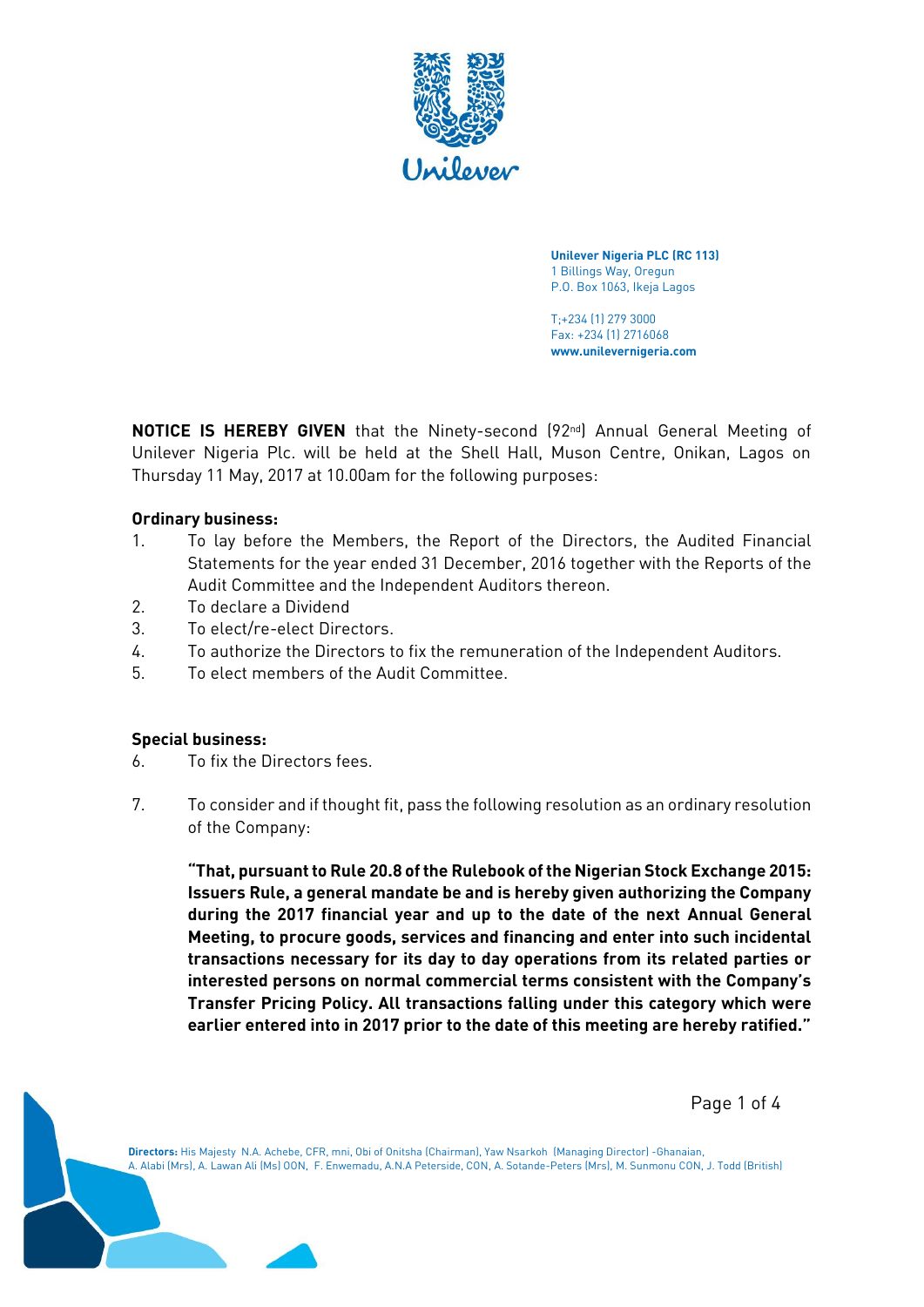

**Unilever Nigeria PLC (RC 113)** 1 Billings Way, Oregun P.O. Box 1063, Ikeja Lagos

T;+234 (1) 279 3000 Fax: +234 (1) 2716068 **www.unilevernigeria.com**

**NOTICE IS HEREBY GIVEN** that the Ninety-second (92<sup>nd</sup>) Annual General Meeting of Unilever Nigeria Plc. will be held at the Shell Hall, Muson Centre, Onikan, Lagos on Thursday 11 May, 2017 at 10.00am for the following purposes:

### **Ordinary business:**

- 1. To lay before the Members, the Report of the Directors, the Audited Financial Statements for the year ended 31 December, 2016 together with the Reports of the Audit Committee and the Independent Auditors thereon.
- 2. To declare a Dividend
- 3. To elect/re-elect Directors.
- 4. To authorize the Directors to fix the remuneration of the Independent Auditors.
- 5. To elect members of the Audit Committee.

#### **Special business:**

- 6. To fix the Directors fees.
- 7. To consider and if thought fit, pass the following resolution as an ordinary resolution of the Company:

**"That, pursuant to Rule 20.8 of the Rulebook of the Nigerian Stock Exchange 2015: Issuers Rule, a general mandate be and is hereby given authorizing the Company during the 2017 financial year and up to the date of the next Annual General Meeting, to procure goods, services and financing and enter into such incidental transactions necessary for its day to day operations from its related parties or interested persons on normal commercial terms consistent with the Company's Transfer Pricing Policy. All transactions falling under this category which were earlier entered into in 2017 prior to the date of this meeting are hereby ratified."**

Page 1 of 4

**Directors:** His Majesty N.A. Achebe, CFR, mni, Obi of Onitsha (Chairman), Yaw Nsarkoh (Managing Director) -Ghanaian, A. Alabi (Mrs), A. Lawan Ali (Ms) OON, F. Enwemadu, A.N.A Peterside, CON, A. Sotande-Peters (Mrs), M. Sunmonu CON, J. Todd (British)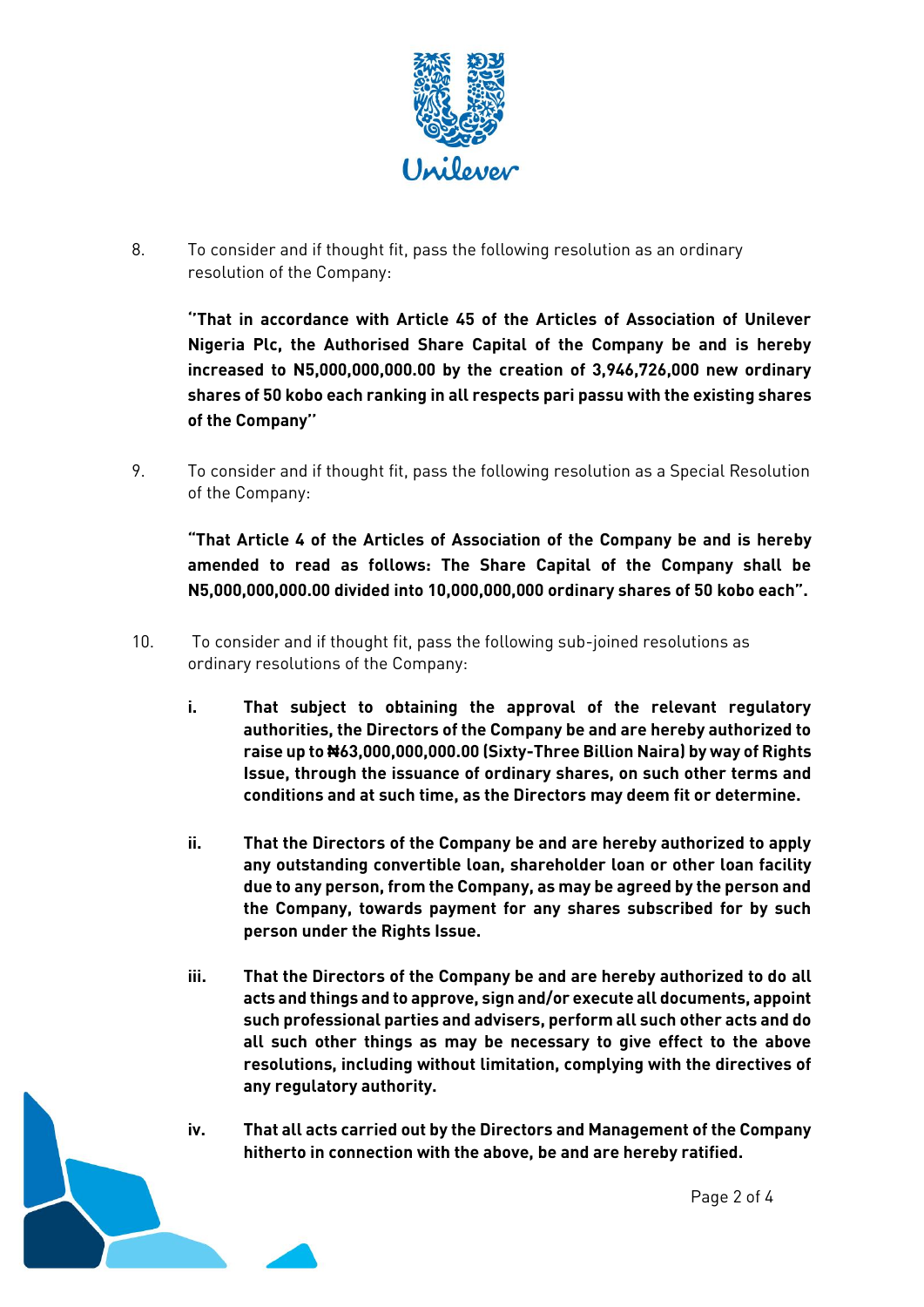

8. To consider and if thought fit, pass the following resolution as an ordinary resolution of the Company:

**''That in accordance with Article 45 of the Articles of Association of Unilever Nigeria Plc, the Authorised Share Capital of the Company be and is hereby increased to N5,000,000,000.00 by the creation of 3,946,726,000 new ordinary shares of 50 kobo each ranking in all respects pari passu with the existing shares of the Company''** 

9. To consider and if thought fit, pass the following resolution as a Special Resolution of the Company:

**"That Article 4 of the Articles of Association of the Company be and is hereby amended to read as follows: The Share Capital of the Company shall be N5,000,000,000.00 divided into 10,000,000,000 ordinary shares of 50 kobo each".**

- 10. To consider and if thought fit, pass the following sub-joined resolutions as ordinary resolutions of the Company:
	- **i. That subject to obtaining the approval of the relevant regulatory authorities, the Directors of the Company be and are hereby authorized to raise up to ₦63,000,000,000.00 (Sixty-Three Billion Naira) by way of Rights Issue, through the issuance of ordinary shares, on such other terms and conditions and at such time, as the Directors may deem fit or determine.**
	- **ii. That the Directors of the Company be and are hereby authorized to apply any outstanding convertible loan, shareholder loan or other loan facility due to any person, from the Company, as may be agreed by the person and the Company, towards payment for any shares subscribed for by such person under the Rights Issue.**
	- **iii. That the Directors of the Company be and are hereby authorized to do all acts and things and to approve, sign and/or execute all documents, appoint such professional parties and advisers, perform all such other acts and do all such other things as may be necessary to give effect to the above resolutions, including without limitation, complying with the directives of any regulatory authority.**
	- **iv. That all acts carried out by the Directors and Management of the Company hitherto in connection with the above, be and are hereby ratified.**

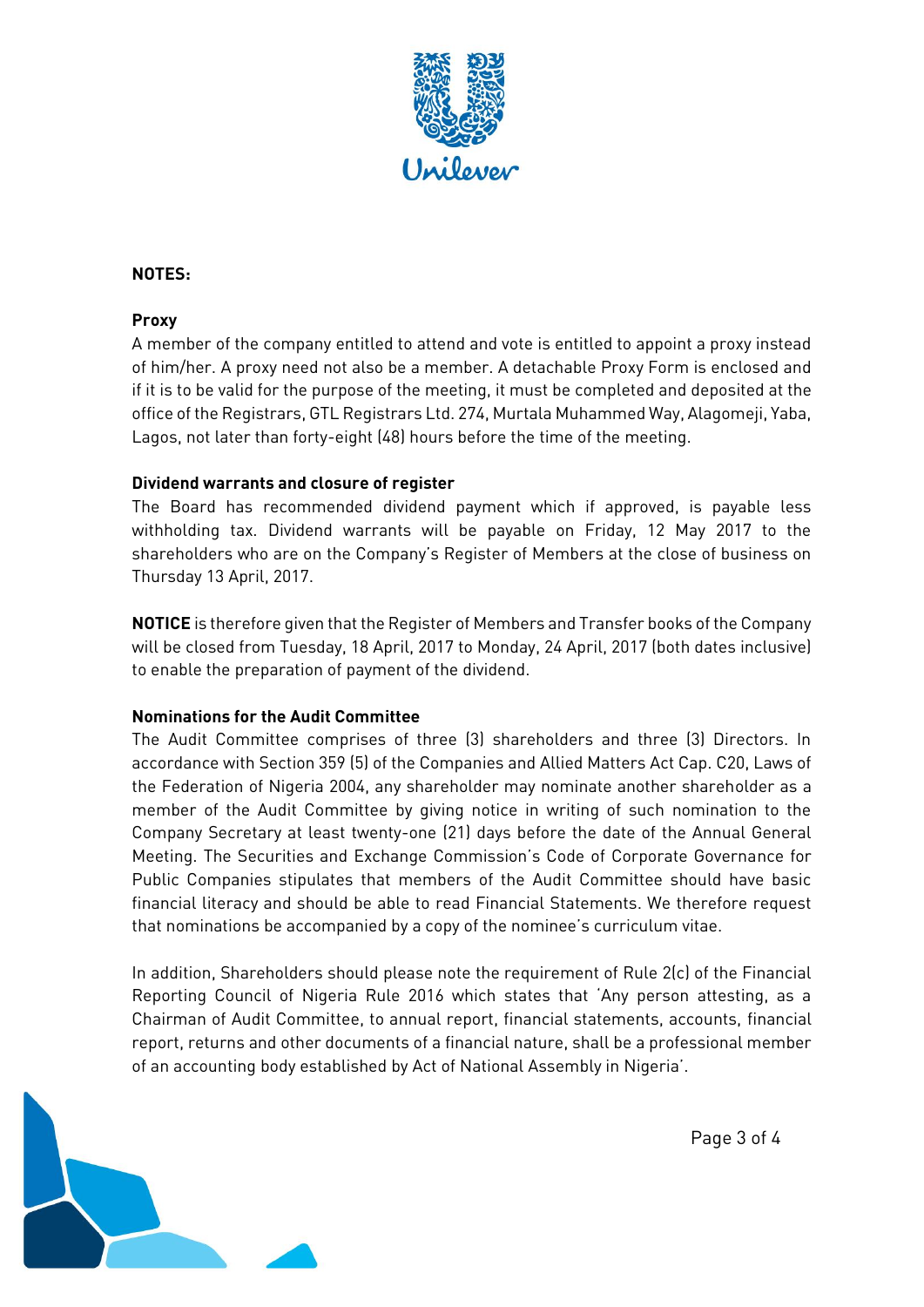

## **NOTES:**

## **Proxy**

A member of the company entitled to attend and vote is entitled to appoint a proxy instead of him/her. A proxy need not also be a member. A detachable Proxy Form is enclosed and if it is to be valid for the purpose of the meeting, it must be completed and deposited at the office of the Registrars, GTL Registrars Ltd. 274, Murtala Muhammed Way, Alagomeji, Yaba, Lagos, not later than forty-eight (48) hours before the time of the meeting.

### **Dividend warrants and closure of register**

The Board has recommended dividend payment which if approved, is payable less withholding tax. Dividend warrants will be payable on Friday, 12 May 2017 to the shareholders who are on the Company's Register of Members at the close of business on Thursday 13 April, 2017.

**NOTICE** is therefore given that the Register of Members and Transfer books of the Company will be closed from Tuesday, 18 April, 2017 to Monday, 24 April, 2017 (both dates inclusive) to enable the preparation of payment of the dividend.

## **Nominations for the Audit Committee**

The Audit Committee comprises of three (3) shareholders and three (3) Directors. In accordance with Section 359 (5) of the Companies and Allied Matters Act Cap. C20, Laws of the Federation of Nigeria 2004, any shareholder may nominate another shareholder as a member of the Audit Committee by giving notice in writing of such nomination to the Company Secretary at least twenty-one (21) days before the date of the Annual General Meeting. The Securities and Exchange Commission's Code of Corporate Governance for Public Companies stipulates that members of the Audit Committee should have basic financial literacy and should be able to read Financial Statements. We therefore request that nominations be accompanied by a copy of the nominee's curriculum vitae.

In addition, Shareholders should please note the requirement of Rule 2(c) of the Financial Reporting Council of Nigeria Rule 2016 which states that 'Any person attesting, as a Chairman of Audit Committee, to annual report, financial statements, accounts, financial report, returns and other documents of a financial nature, shall be a professional member of an accounting body established by Act of National Assembly in Nigeria'.



Page 3 of 4